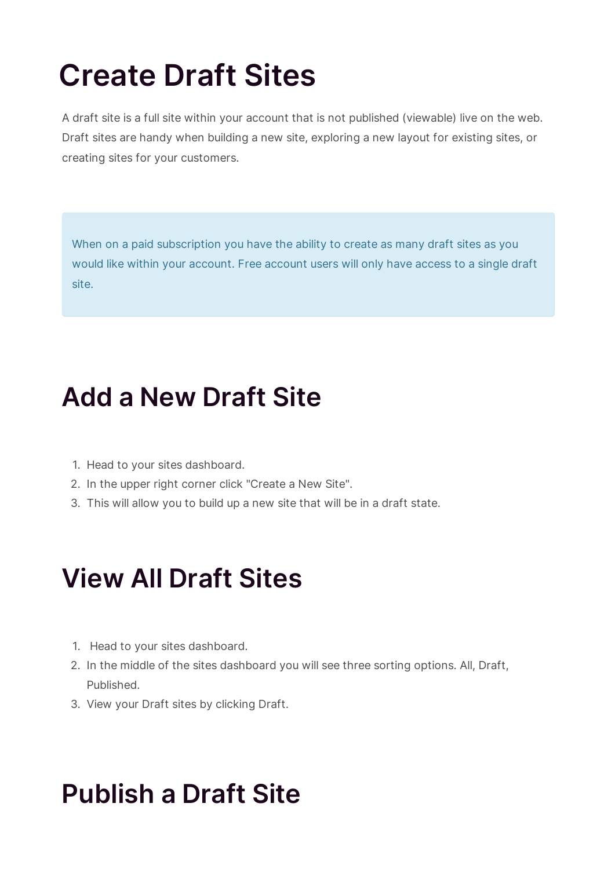# **Create Draft Sites**

A draft site is a full site within your account that is not published (viewable) live on the web. Draft sites are handy when building a new site, exploring a new layout for existing sites, or creating sites for your customers.

When on a paid subscription you have the ability to create as many draft sites as you would like within your account. Free account users will only have access to a single draft site.

#### **Add a New Draft Site**

- 1. Head to your sites dashboard.
- 2. In the upper right corner click "Create a New Site".
- 3. This will allow you to build up a new site that will be in a draft state.

## **View All Draft Sites**

- 1. Head to your sites dashboard.
- 2. In the middle of the sites dashboard you will see three sorting options. All, Draft, Published.
- 3. View your Draft sites by clicking Draft.

#### **Publish a Draft Site**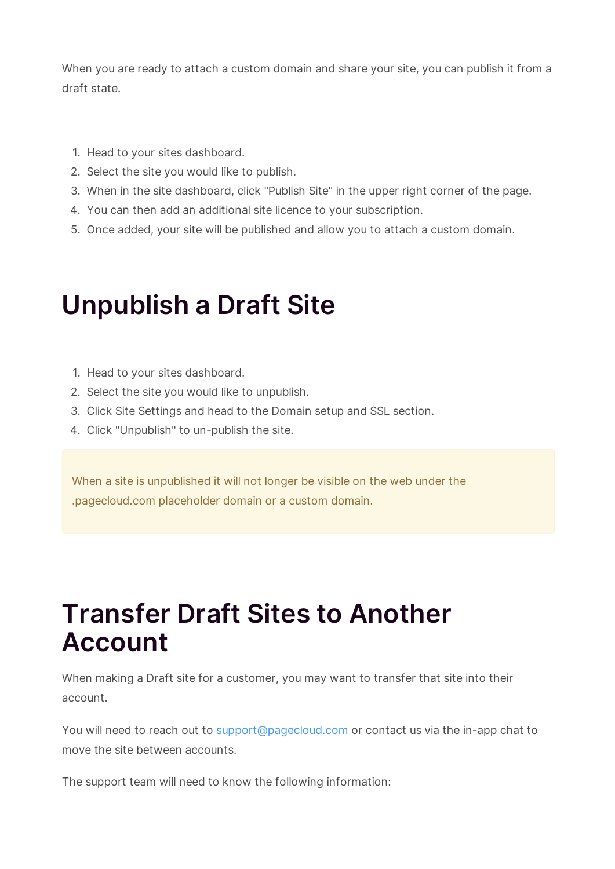When you are ready to attach a custom domain and share your site, you can publish it from a draft state.

- 1. Head to your sites dashboard.
- 2. Select the site you would like to publish.
- 3. When in the site dashboard, click "Publish Site" in the upper right corner of the page.
- 4. You can then add an additional site licence to your subscription.
- 5. Once added, your site will be published and allow you to attach a custom domain.

### **Unpublish a Draft Site**

- 1. Head to your sites dashboard.
- 2. Select the site you would like to unpublish.
- 3. Click Site Settings and head to the Domain setup and SSL section.
- 4. Click "Unpublish" to un-publish the site.

When a site is unpublished it will not longer be visible on the web under the .pagecloud.com placeholder domain or a custom domain.

#### **Transfer Draft Sites to Another Account**

When making a Draft site for a customer, you may want to transfer that site into their account.

You will need to reach out to support@pagecloud.com or contact us via the in-app chat to move the site between accounts.

The support team will need to know the following information: